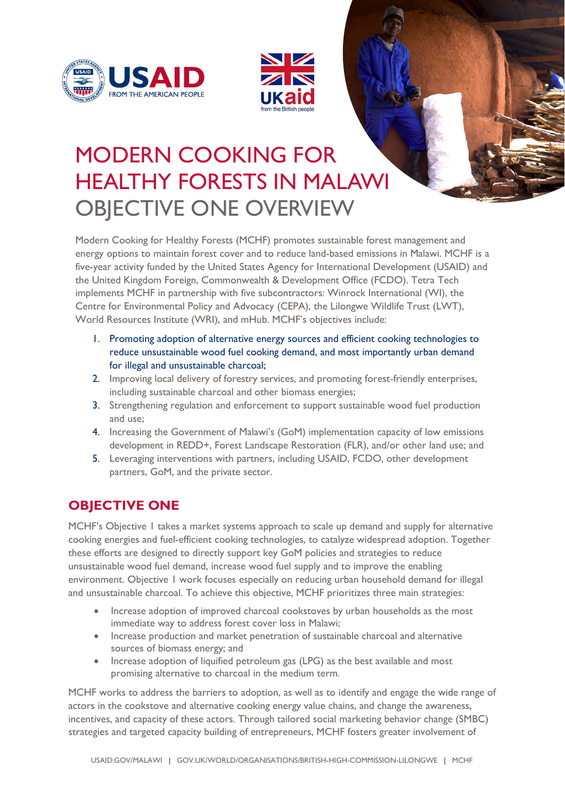



# MODERN COOKING FOR HEALTHY FORESTS IN MALAWI OBJECTIVE ONE OVERVIEW

Modern Cooking for Healthy Forests (MCHF) promotes sustainable forest management and energy options to maintain forest cover and to reduce land-based emissions in Malawi. MCHF is a five-year activity funded by the United States Agency for International Development (USAID) and the United Kingdom Foreign, Commonwealth & Development Office (FCDO). Tetra Tech implements MCHF in partnership with five subcontractors: Winrock International (WI), the Centre for Environmental Policy and Advocacy (CEPA), the Lilongwe Wildlife Trust (LWT), World Resources Institute (WRI), and mHub. MCHF's objectives include:

- 1. Promoting adoption of alternative energy sources and efficient cooking technologies to reduce unsustainable wood fuel cooking demand, and most importantly urban demand for illegal and unsustainable charcoal;
- 2. Improving local delivery of forestry services, and promoting forest-friendly enterprises, including sustainable charcoal and other biomass energies;
- 3. Strengthening regulation and enforcement to support sustainable wood fuel production and use;
- 4. Increasing the Government of Malawi's (GoM) implementation capacity of low emissions development in REDD+, Forest Landscape Restoration (FLR), and/or other land use; and
- 5. Leveraging interventions with partners, including USAID, FCDO, other development partners, GoM, and the private sector.

# **OBJECTIVE ONE**

MCHF's Objective 1 takes a market systems approach to scale up demand and supply for alternative cooking energies and fuel-efficient cooking technologies, to catalyze widespread adoption. Together these efforts are designed to directly support key GoM policies and strategies to reduce unsustainable wood fuel demand, increase wood fuel supply and to improve the enabling environment. Objective 1 work focuses especially on reducing urban household demand for illegal and unsustainable charcoal. To achieve this objective, MCHF prioritizes three main strategies:

- Increase adoption of improved charcoal cookstoves by urban households as the most immediate way to address forest cover loss in Malawi;
- Increase production and market penetration of sustainable charcoal and alternative sources of biomass energy; and
- Increase adoption of liquified petroleum gas (LPG) as the best available and most promising alternative to charcoal in the medium term.

MCHF works to address the barriers to adoption, as well as to identify and engage the wide range of actors in the cookstove and alternative cooking energy value chains, and change the awareness, incentives, and capacity of these actors. Through tailored social marketing behavior change (SMBC) strategies and targeted capacity building of entrepreneurs, MCHF fosters greater involvement of